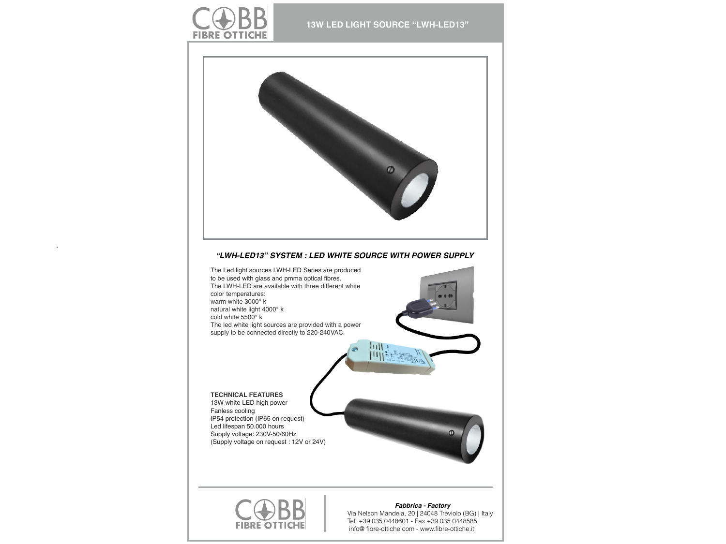



## *"LWH-LED13" SYSTEM : LED WHITE SOURCE WITH POWER SUPPLY*





## *Fabbrica - Factory*

Via Nelson Mandela, 20 | 24048 Treviolo (BG) | Italy Tel. +39 035 0448601 - Fax +39 035 0448585 info@ fibre-ottiche.com - [www.fibre-ottiche.it](http://www.fibre-ottiche.it)